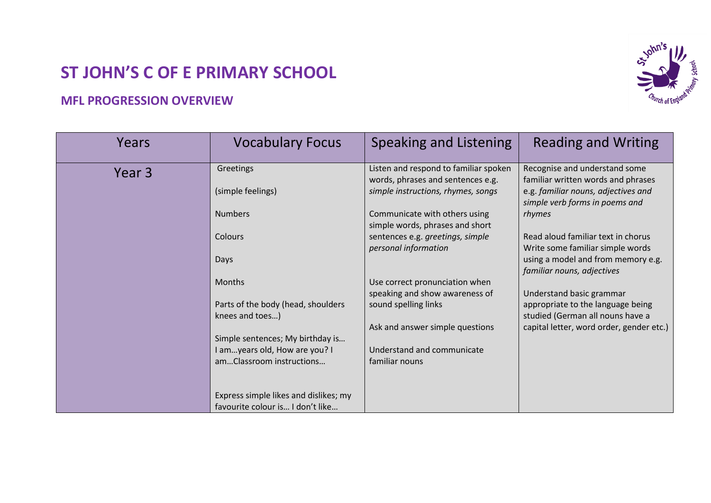## **ST JOHN'S C OF E PRIMARY SCHOOL**

## **vohn's**

## **MFL PROGRESSION OVERVIEW**

| Years  | <b>Vocabulary Focus</b>                                                   | <b>Speaking and Listening</b>                                              | <b>Reading and Writing</b>                                                                        |
|--------|---------------------------------------------------------------------------|----------------------------------------------------------------------------|---------------------------------------------------------------------------------------------------|
| Year 3 | Greetings                                                                 | Listen and respond to familiar spoken<br>words, phrases and sentences e.g. | Recognise and understand some<br>familiar written words and phrases                               |
|        | (simple feelings)                                                         | simple instructions, rhymes, songs                                         | e.g. familiar nouns, adjectives and<br>simple verb forms in poems and                             |
|        | <b>Numbers</b>                                                            | Communicate with others using<br>simple words, phrases and short           | rhymes                                                                                            |
|        | Colours                                                                   | sentences e.g. greetings, simple<br>personal information                   | Read aloud familiar text in chorus<br>Write some familiar simple words                            |
|        | Days                                                                      |                                                                            | using a model and from memory e.g.<br>familiar nouns, adjectives                                  |
|        | <b>Months</b>                                                             | Use correct pronunciation when                                             |                                                                                                   |
|        | Parts of the body (head, shoulders<br>knees and toes)                     | speaking and show awareness of<br>sound spelling links                     | Understand basic grammar<br>appropriate to the language being<br>studied (German all nouns have a |
|        |                                                                           | Ask and answer simple questions                                            | capital letter, word order, gender etc.)                                                          |
|        | Simple sentences; My birthday is                                          | Understand and communicate                                                 |                                                                                                   |
|        | I amyears old, How are you? I<br>amClassroom instructions                 | familiar nouns                                                             |                                                                                                   |
|        |                                                                           |                                                                            |                                                                                                   |
|        | Express simple likes and dislikes; my<br>favourite colour is I don't like |                                                                            |                                                                                                   |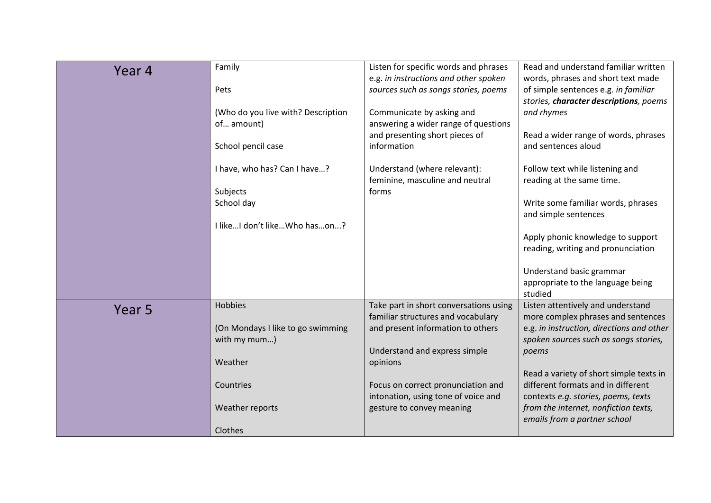| Year 4            | Family                             | Listen for specific words and phrases  | Read and understand familiar written      |
|-------------------|------------------------------------|----------------------------------------|-------------------------------------------|
|                   |                                    | e.g. in instructions and other spoken  | words, phrases and short text made        |
|                   | Pets                               | sources such as songs stories, poems   | of simple sentences e.g. in familiar      |
|                   |                                    |                                        | stories, character descriptions, poems    |
|                   | (Who do you live with? Description | Communicate by asking and              | and rhymes                                |
|                   | of amount)                         | answering a wider range of questions   |                                           |
|                   |                                    | and presenting short pieces of         | Read a wider range of words, phrases      |
|                   | School pencil case                 | information                            | and sentences aloud                       |
|                   |                                    |                                        |                                           |
|                   | I have, who has? Can I have?       | Understand (where relevant):           | Follow text while listening and           |
|                   |                                    | feminine, masculine and neutral        | reading at the same time.                 |
|                   | Subjects                           | forms                                  |                                           |
|                   | School day                         |                                        | Write some familiar words, phrases        |
|                   |                                    |                                        | and simple sentences                      |
|                   | I like I don't like Who hason?     |                                        |                                           |
|                   |                                    |                                        | Apply phonic knowledge to support         |
|                   |                                    |                                        | reading, writing and pronunciation        |
|                   |                                    |                                        |                                           |
|                   |                                    |                                        | Understand basic grammar                  |
|                   |                                    |                                        | appropriate to the language being         |
|                   |                                    |                                        | studied                                   |
|                   | Hobbies                            |                                        | Listen attentively and understand         |
| Year <sub>5</sub> |                                    | Take part in short conversations using |                                           |
|                   |                                    | familiar structures and vocabulary     | more complex phrases and sentences        |
|                   | (On Mondays I like to go swimming  | and present information to others      | e.g. in instruction, directions and other |
|                   | with my mum)                       |                                        | spoken sources such as songs stories,     |
|                   |                                    | Understand and express simple          | poems                                     |
|                   | Weather                            | opinions                               |                                           |
|                   |                                    |                                        | Read a variety of short simple texts in   |
|                   | Countries                          | Focus on correct pronunciation and     | different formats and in different        |
|                   |                                    | intonation, using tone of voice and    | contexts e.g. stories, poems, texts       |
|                   | Weather reports                    | gesture to convey meaning              | from the internet, nonfiction texts,      |
|                   |                                    |                                        | emails from a partner school              |
|                   | Clothes                            |                                        |                                           |